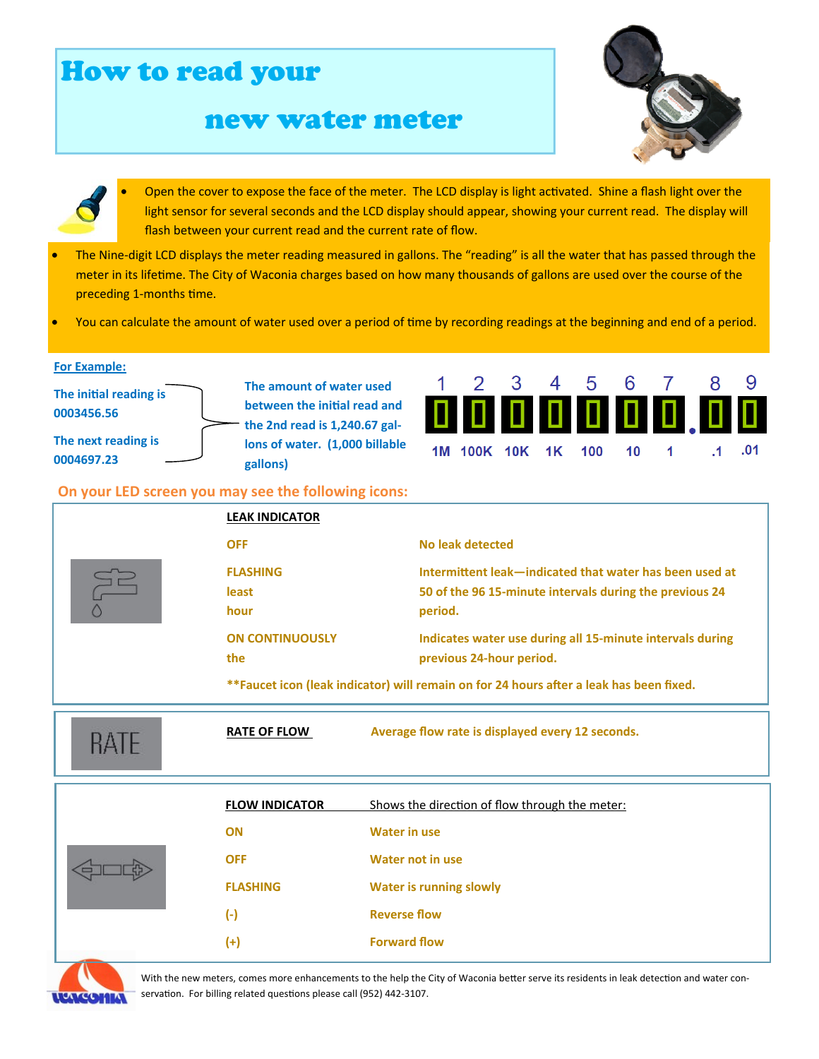## How to read your new water meter Open the cover to expose the face of the meter. The LCD display is light activated. Shine a flash light over the light sensor for several seconds and the LCD display should appear, showing your current read. The display will flash between your current read and the current rate of flow. • The Nine-digit LCD displays the meter reading measured in gallons. The "reading" is all the water that has passed through the meter in its lifetime. The City of Waconia charges based on how many thousands of gallons are used over the course of the preceding 1-months time. You can calculate the amount of water used over a period of time by recording readings at the beginning and end of a period. **For Example: The amount of water used The iniƟal reading is between the initial read and 0003456.56 the 2nd read is 1,240.67 gal-The next reading is lons of water. (1,000 billable**  1M 100K 10K 1K 100  $10$ **0004697.23 gallons) On your LED screen you may see the following icons: LEAK INDICATOR OFF** No leak detected **FLASHING Intermittent leak—indicated that water has been used at least 50 of the 96 15-minute intervals during the previous 24 hour** period. **ON CONTINUOUSLY Indicates water use during all 15-minute intervals during the previous 24-hour period. \*\*Faucet icon (leak indicator) will remain on for 24 hours after a leak has been fixed. RATE OF FLOW** Average flow rate is displayed every 12 seconds. **RATE FLOW INDICATOR** Shows the direction of flow through the meter: **ON Water in use OFF Water not in use FLASHING Water is running slowly (-) Reverse flow (+) Forward flow**  With the new meters, comes more enhancements to the help the City of Waconia better serve its residents in leak detection and water con-

9

 $.01$ 

 $\cdot$ 1

servation. For billing related questions please call (952) 442-3107.

**ATCOMIA**